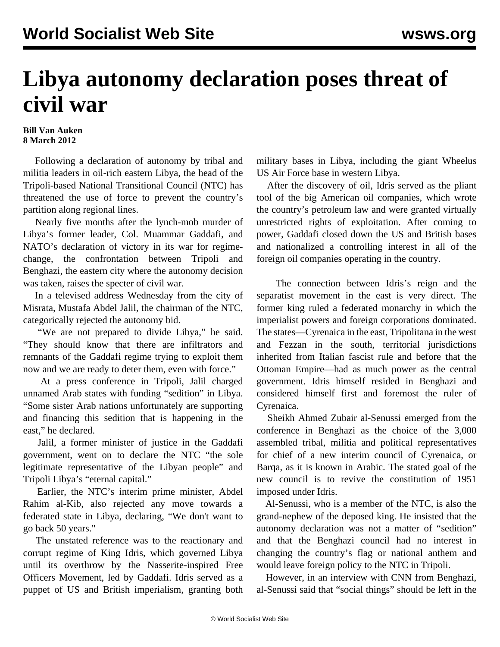## **Libya autonomy declaration poses threat of civil war**

## **Bill Van Auken 8 March 2012**

 Following a declaration of autonomy by tribal and militia leaders in oil-rich eastern Libya, the head of the Tripoli-based National Transitional Council (NTC) has threatened the use of force to prevent the country's partition along regional lines.

 Nearly five months after the lynch-mob murder of Libya's former leader, Col. Muammar Gaddafi, and NATO's declaration of victory in its war for regimechange, the confrontation between Tripoli and Benghazi, the eastern city where the autonomy decision was taken, raises the specter of civil war.

 In a televised address Wednesday from the city of Misrata, Mustafa Abdel Jalil, the chairman of the NTC, categorically rejected the autonomy bid.

 "We are not prepared to divide Libya," he said. "They should know that there are infiltrators and remnants of the Gaddafi regime trying to exploit them now and we are ready to deter them, even with force."

 At a press conference in Tripoli, Jalil charged unnamed Arab states with funding "sedition" in Libya. "Some sister Arab nations unfortunately are supporting and financing this sedition that is happening in the east," he declared.

 Jalil, a former minister of justice in the Gaddafi government, went on to declare the NTC "the sole legitimate representative of the Libyan people" and Tripoli Libya's "eternal capital."

 Earlier, the NTC's interim prime minister, Abdel Rahim al-Kib, also rejected any move towards a federated state in Libya, declaring, "We don't want to go back 50 years."

 The unstated reference was to the reactionary and corrupt regime of King Idris, which governed Libya until its overthrow by the Nasserite-inspired Free Officers Movement, led by Gaddafi. Idris served as a puppet of US and British imperialism, granting both military bases in Libya, including the giant Wheelus US Air Force base in western Libya.

 After the discovery of oil, Idris served as the pliant tool of the big American oil companies, which wrote the country's petroleum law and were granted virtually unrestricted rights of exploitation. After coming to power, Gaddafi closed down the US and British bases and nationalized a controlling interest in all of the foreign oil companies operating in the country.

 The connection between Idris's reign and the separatist movement in the east is very direct. The former king ruled a federated monarchy in which the imperialist powers and foreign corporations dominated. The states—Cyrenaica in the east, Tripolitana in the west and Fezzan in the south, territorial jurisdictions inherited from Italian fascist rule and before that the Ottoman Empire—had as much power as the central government. Idris himself resided in Benghazi and considered himself first and foremost the ruler of Cyrenaica.

 Sheikh Ahmed Zubair al-Senussi emerged from the conference in Benghazi as the choice of the 3,000 assembled tribal, militia and political representatives for chief of a new interim council of Cyrenaica, or Barqa, as it is known in Arabic. The stated goal of the new council is to revive the constitution of 1951 imposed under Idris.

 Al-Senussi, who is a member of the NTC, is also the grand-nephew of the deposed king. He insisted that the autonomy declaration was not a matter of "sedition" and that the Benghazi council had no interest in changing the country's flag or national anthem and would leave foreign policy to the NTC in Tripoli.

 However, in an interview with CNN from Benghazi, al-Senussi said that "social things" should be left in the